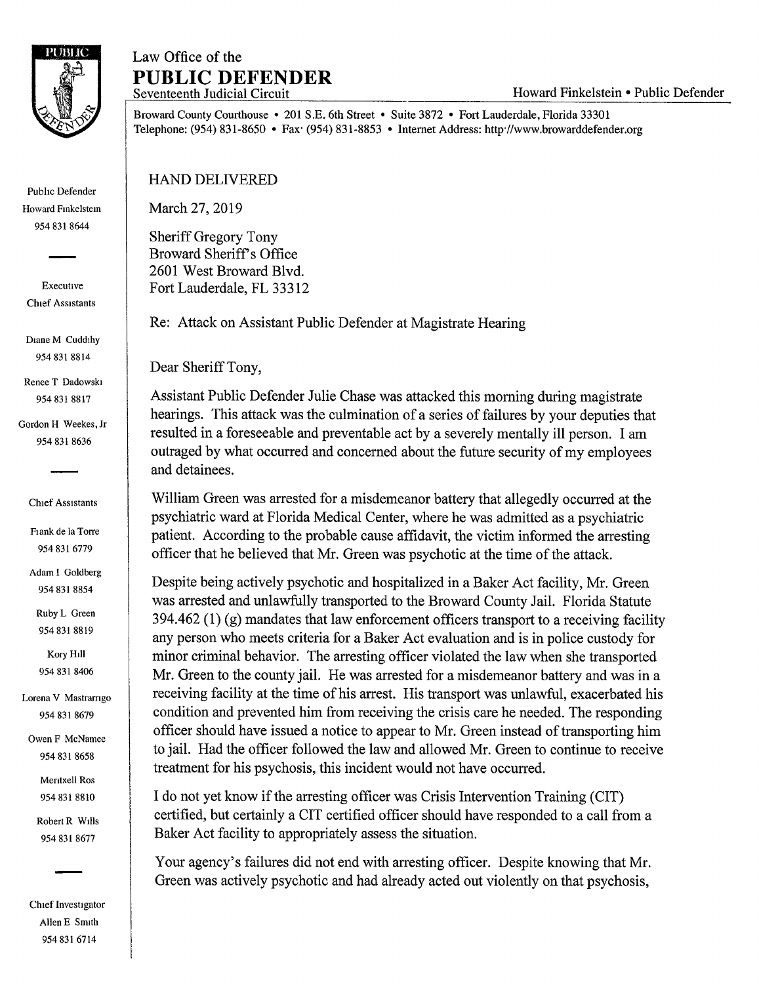

Public Defender Howard Fmkelstem 954 831 8644

Executive Chief Assistants

Diane M Cuddihy 954 831 8814

Renee T Dadowski 954 831 8817

Gordon H Weekes, Jr 954 831 8636

Chief Assistants

Flank de la Torre 954 831 6779

Adam I Goldberg 954 831 8854

Ruby L Green 954 831 8819

Kory Hill 954 831 8406

Lorena V Mastrarngo 954 831 8679

Owen F McNamee 954 831 8658

> Mentxell Ros 954 831 8810

Robert R Wills 954 831 8677

Chief Investigator Allen E Smith 954 831 6714

## Law Office of the **PUBLIC DEFENDER**

Broward County Courthouse • 201 S.E. 6th Street • Suite 3872 • Fort Lauderdale, Florida 33301 Telephone: (954) 831-8650 • Fax· (954) 831-8853 • Internet Address: http·//www.browarddefender.org

HAND DELIVERED

March 27, 2019

Sheriff Gregory Tony Broward Sheriff's Office 2601 West Broward Blvd. Fort Lauderdale, FL 33312

Re: Attack on Assistant Public Defender at Magistrate Hearing

Dear Sheriff Tony,

Assistant Public Defender Julie Chase was attacked this morning during magistrate hearings. This attack was the culmination of a series of failures by your deputies that resulted in a foreseeable and preventable act by a severely mentally ill person. I am outraged by what occurred and concerned about the future security of my employees and detainees.

William Green was arrested for a misdemeanor battery that allegedly occurred at the psychiatric ward at Florida Medical Center, where he was admitted as a psychiatric patient. According to the probable cause affidavit, the victim informed the arresting officer that he believed that Mr. Green was psychotic at the time of the attack.

Despite being actively psychotic and hospitalized in a Baker Act facility, Mr. Green was arrested and unlawfully transported to the Broward County Jail. Florida Statute  $394.462$  (1) (g) mandates that law enforcement officers transport to a receiving facility any person who meets criteria for a Baker Act evaluation and is in police custody for minor criminal behavior. The arresting officer violated the law when she transported Mr. Green to the county jail. He was arrested for a misdemeanor battery and was in a receiving facility at the time of his arrest. His transport was unlawful, exacerbated his condition and prevented him from receiving the crisis care he needed. The responding officer should have issued a notice to appear to Mr. Green instead of transporting him to jail. Had the officer followed the law and allowed Mr. Green to continue to receive treatment for his psychosis, this incident would not have occurred.

I do not yet know if the arresting officer was Crisis Intervention Training (CIT) certified, but certainly a CIT certified officer should have responded to a call from a Baker Act facility to appropriately assess the situation.

Your agency's failures did not end with arresting officer. Despite knowing that Mr. Green was actively psychotic and had already acted out violently on that psychosis,

Howard Finkelstein • Public Defender